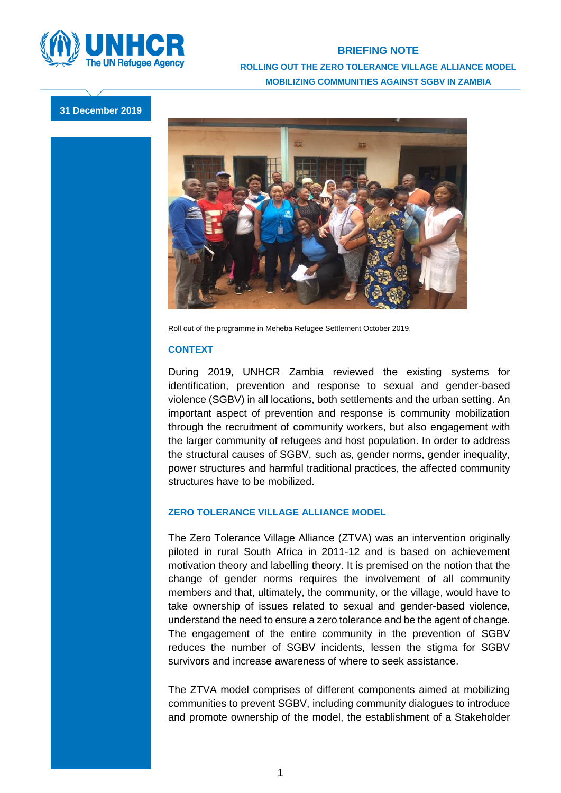

## **BRIEFING NOTE ROLLING OUT THE ZERO TOLERANCE VILLAGE ALLIANCE MODEL MOBILIZING COMMUNITIES AGAINST SGBV IN ZAMBIA**

**31 December 2019**



Roll out of the programme in Meheba Refugee Settlement October 2019.

## **CONTEXT**

During 2019, UNHCR Zambia reviewed the existing systems for identification, prevention and response to sexual and gender-based violence (SGBV) in all locations, both settlements and the urban setting. An important aspect of prevention and response is community mobilization through the recruitment of community workers, but also engagement with the larger community of refugees and host population. In order to address the structural causes of SGBV, such as, gender norms, gender inequality, power structures and harmful traditional practices, the affected community structures have to be mobilized.

## **ZERO TOLERANCE VILLAGE ALLIANCE MODEL**

The Zero Tolerance Village Alliance (ZTVA) was an intervention originally piloted in rural South Africa in 2011-12 and is based on achievement motivation theory and labelling theory. It is premised on the notion that the change of gender norms requires the involvement of all community members and that, ultimately, the community, or the village, would have to take ownership of issues related to sexual and gender-based violence, understand the need to ensure a zero tolerance and be the agent of change. The engagement of the entire community in the prevention of SGBV reduces the number of SGBV incidents, lessen the stigma for SGBV survivors and increase awareness of where to seek assistance.

The ZTVA model comprises of different components aimed at mobilizing communities to prevent SGBV, including community dialogues to introduce and promote ownership of the model, the establishment of a Stakeholder